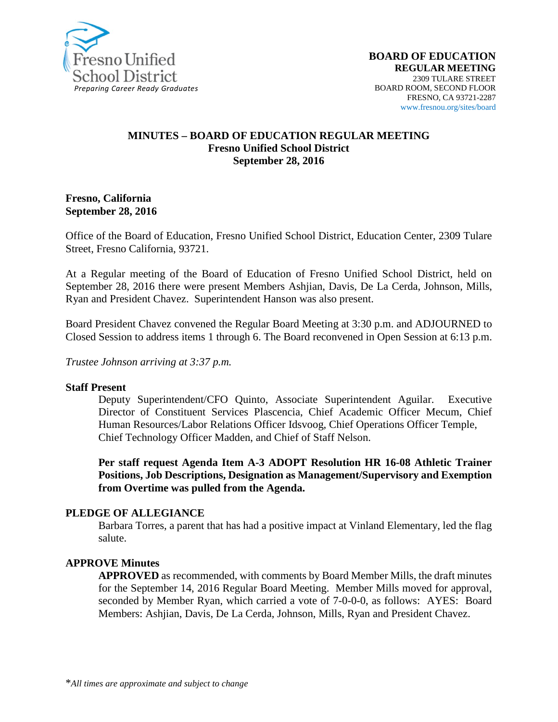

#### **MINUTES – BOARD OF EDUCATION REGULAR MEETING Fresno Unified School District September 28, 2016**

#### **Fresno, California September 28, 2016**

Office of the Board of Education, Fresno Unified School District, Education Center, 2309 Tulare Street, Fresno California, 93721.

At a Regular meeting of the Board of Education of Fresno Unified School District, held on September 28, 2016 there were present Members Ashjian, Davis, De La Cerda, Johnson, Mills, Ryan and President Chavez. Superintendent Hanson was also present.

Board President Chavez convened the Regular Board Meeting at 3:30 p.m. and ADJOURNED to Closed Session to address items 1 through 6. The Board reconvened in Open Session at 6:13 p.m.

*Trustee Johnson arriving at 3:37 p.m.*

#### **Staff Present**

Deputy Superintendent/CFO Quinto, Associate Superintendent Aguilar. Executive Director of Constituent Services Plascencia, Chief Academic Officer Mecum, Chief Human Resources/Labor Relations Officer Idsvoog, Chief Operations Officer Temple, Chief Technology Officer Madden, and Chief of Staff Nelson.

**Per staff request Agenda Item A-3 ADOPT Resolution HR 16-08 Athletic Trainer Positions, Job Descriptions, Designation as Management/Supervisory and Exemption from Overtime was pulled from the Agenda.**

#### **PLEDGE OF ALLEGIANCE**

Barbara Torres, a parent that has had a positive impact at Vinland Elementary, led the flag salute.

#### **APPROVE Minutes**

**APPROVED** as recommended, with comments by Board Member Mills, the draft minutes for the September 14, 2016 Regular Board Meeting. Member Mills moved for approval, seconded by Member Ryan, which carried a vote of 7-0-0-0, as follows: AYES: Board Members: Ashjian, Davis, De La Cerda, Johnson, Mills, Ryan and President Chavez.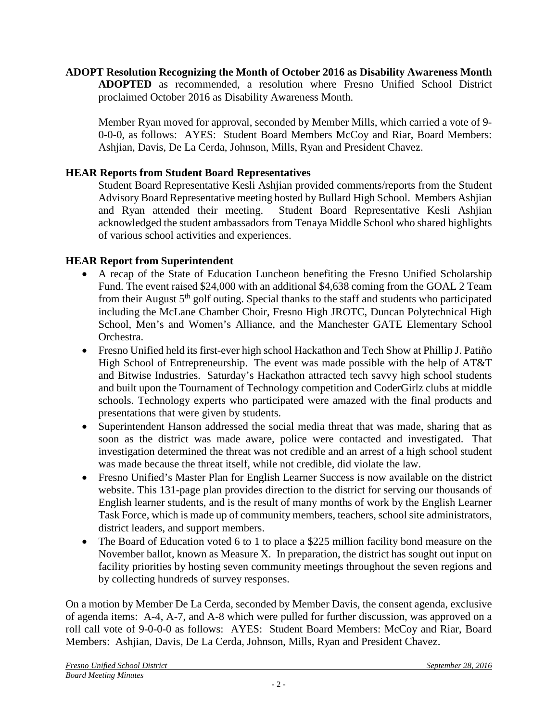**ADOPT Resolution Recognizing the Month of October 2016 as Disability Awareness Month ADOPTED** as recommended, a resolution where Fresno Unified School District proclaimed October 2016 as Disability Awareness Month.

Member Ryan moved for approval, seconded by Member Mills, which carried a vote of 9- 0-0-0, as follows: AYES: Student Board Members McCoy and Riar, Board Members: Ashjian, Davis, De La Cerda, Johnson, Mills, Ryan and President Chavez.

# **HEAR Reports from Student Board Representatives**

Student Board Representative Kesli Ashjian provided comments/reports from the Student Advisory Board Representative meeting hosted by Bullard High School. Members Ashjian and Ryan attended their meeting. Student Board Representative Kesli Ashjian acknowledged the student ambassadors from Tenaya Middle School who shared highlights of various school activities and experiences.

## **HEAR Report from Superintendent**

- A recap of the State of Education Luncheon benefiting the Fresno Unified Scholarship Fund. The event raised \$24,000 with an additional \$4,638 coming from the GOAL 2 Team from their August 5<sup>th</sup> golf outing. Special thanks to the staff and students who participated including the McLane Chamber Choir, Fresno High JROTC, Duncan Polytechnical High School, Men's and Women's Alliance, and the Manchester GATE Elementary School Orchestra.
- Fresno Unified held its first-ever high school Hackathon and Tech Show at Phillip J. Patiño High School of Entrepreneurship. The event was made possible with the help of AT&T and Bitwise Industries. Saturday's Hackathon attracted tech savvy high school students and built upon the Tournament of Technology competition and CoderGirlz clubs at middle schools. Technology experts who participated were amazed with the final products and presentations that were given by students.
- Superintendent Hanson addressed the social media threat that was made, sharing that as soon as the district was made aware, police were contacted and investigated. That investigation determined the threat was not credible and an arrest of a high school student was made because the threat itself, while not credible, did violate the law.
- Fresno Unified's Master Plan for English Learner Success is now available on the district [website.](https://www.fresnounified.org/news/stories/Pages/EL-Master-Plan-Available-for-Review.aspx#.V-xuAiTn_IU) This 131-page plan provides direction to the district for serving our thousands of English learner students, and is the result of many months of work by the English Learner Task Force, which is made up of community members, teachers, school site administrators, district leaders, and support members.
- The Board of Education voted 6 to 1 to place a \$225 million facility bond measure on the November ballot, known as Measure X. In preparation, the district has sought out input on facility priorities by hosting seven community meetings throughout the seven regions and by collecting hundreds of survey responses.

On a motion by Member De La Cerda, seconded by Member Davis, the consent agenda, exclusive of agenda items: A-4, A-7, and A-8 which were pulled for further discussion, was approved on a roll call vote of 9-0-0-0 as follows: AYES: Student Board Members: McCoy and Riar, Board Members: Ashjian, Davis, De La Cerda, Johnson, Mills, Ryan and President Chavez.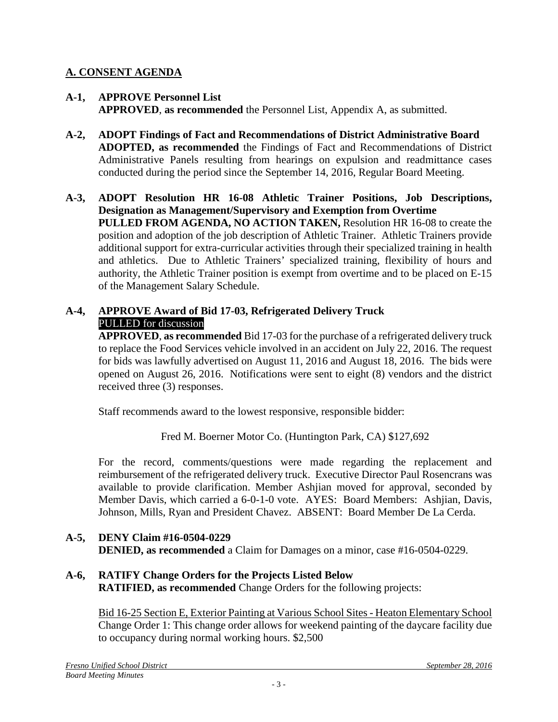# **A. CONSENT AGENDA**

- **A-1, APPROVE Personnel List APPROVED**, **as recommended** the Personnel List, Appendix A, as submitted.
- **A-2, ADOPT Findings of Fact and Recommendations of District Administrative Board ADOPTED, as recommended** the Findings of Fact and Recommendations of District Administrative Panels resulting from hearings on expulsion and readmittance cases conducted during the period since the September 14, 2016, Regular Board Meeting.
- **A-3, ADOPT Resolution HR 16-08 Athletic Trainer Positions, Job Descriptions, Designation as Management/Supervisory and Exemption from Overtime PULLED FROM AGENDA, NO ACTION TAKEN,** Resolution HR 16-08 to create the position and adoption of the job description of Athletic Trainer. Athletic Trainers provide additional support for extra-curricular activities through their specialized training in health and athletics. Due to Athletic Trainers' specialized training, flexibility of hours and authority, the Athletic Trainer position is exempt from overtime and to be placed on E-15 of the Management Salary Schedule.

## **A-4, APPROVE Award of Bid 17-03, Refrigerated Delivery Truck** PULLED for discussion

**APPROVED**, **as recommended** Bid 17-03 for the purchase of a refrigerated delivery truck to replace the Food Services vehicle involved in an accident on July 22, 2016. The request for bids was lawfully advertised on August 11, 2016 and August 18, 2016. The bids were opened on August 26, 2016. Notifications were sent to eight (8) vendors and the district received three (3) responses.

Staff recommends award to the lowest responsive, responsible bidder:

Fred M. Boerner Motor Co. (Huntington Park, CA) \$127,692

For the record, comments/questions were made regarding the replacement and reimbursement of the refrigerated delivery truck. Executive Director Paul Rosencrans was available to provide clarification. Member Ashjian moved for approval, seconded by Member Davis, which carried a 6-0-1-0 vote. AYES: Board Members: Ashjian, Davis, Johnson, Mills, Ryan and President Chavez. ABSENT: Board Member De La Cerda.

# **A-5, DENY Claim #16-0504-0229 DENIED, as recommended** a Claim for Damages on a minor, case #16-0504-0229.

**A-6, RATIFY Change Orders for the Projects Listed Below RATIFIED, as recommended** Change Orders for the following projects:

Bid 16-25 Section E, Exterior Painting at Various School Sites - Heaton Elementary School Change Order 1: This change order allows for weekend painting of the daycare facility due to occupancy during normal working hours. \$2,500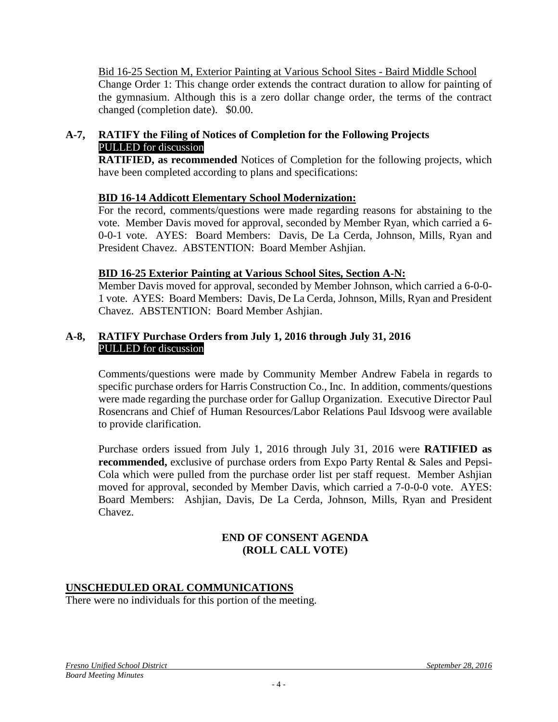Bid 16-25 Section M, Exterior Painting at Various School Sites - Baird Middle School Change Order 1: This change order extends the contract duration to allow for painting of the gymnasium. Although this is a zero dollar change order, the terms of the contract changed (completion date). \$0.00.

## **A-7, RATIFY the Filing of Notices of Completion for the Following Projects** PULLED for discussion

**RATIFIED, as recommended** Notices of Completion for the following projects, which have been completed according to plans and specifications:

## **BID 16-14 Addicott Elementary School Modernization:**

For the record, comments/questions were made regarding reasons for abstaining to the vote. Member Davis moved for approval, seconded by Member Ryan, which carried a 6- 0-0-1 vote. AYES: Board Members: Davis, De La Cerda, Johnson, Mills, Ryan and President Chavez. ABSTENTION: Board Member Ashjian.

## **BID 16-25 Exterior Painting at Various School Sites, Section A-N:**

Member Davis moved for approval, seconded by Member Johnson, which carried a 6-0-0- 1 vote. AYES: Board Members: Davis, De La Cerda, Johnson, Mills, Ryan and President Chavez. ABSTENTION: Board Member Ashjian.

#### **A-8, RATIFY Purchase Orders from July 1, 2016 through July 31, 2016** PULLED for discussion

Comments/questions were made by Community Member Andrew Fabela in regards to specific purchase orders for Harris Construction Co., Inc. In addition, comments/questions were made regarding the purchase order for Gallup Organization. Executive Director Paul Rosencrans and Chief of Human Resources/Labor Relations Paul Idsvoog were available to provide clarification.

Purchase orders issued from July 1, 2016 through July 31, 2016 were **RATIFIED as recommended,** exclusive of purchase orders from Expo Party Rental & Sales and Pepsi-Cola which were pulled from the purchase order list per staff request. Member Ashjian moved for approval, seconded by Member Davis, which carried a 7-0-0-0 vote. AYES: Board Members: Ashjian, Davis, De La Cerda, Johnson, Mills, Ryan and President Chavez.

### **END OF CONSENT AGENDA (ROLL CALL VOTE)**

### **UNSCHEDULED ORAL COMMUNICATIONS**

There were no individuals for this portion of the meeting.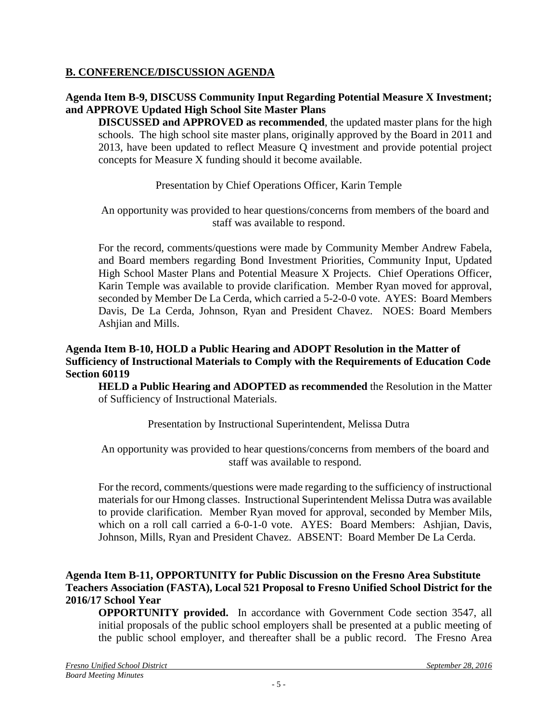## **B. CONFERENCE/DISCUSSION AGENDA**

## **Agenda Item B-9, DISCUSS Community Input Regarding Potential Measure X Investment; and APPROVE Updated High School Site Master Plans**

**DISCUSSED and APPROVED as recommended**, the updated master plans for the high schools. The high school site master plans, originally approved by the Board in 2011 and 2013, have been updated to reflect Measure Q investment and provide potential project concepts for Measure X funding should it become available.

### Presentation by Chief Operations Officer, Karin Temple

An opportunity was provided to hear questions/concerns from members of the board and staff was available to respond.

For the record, comments/questions were made by Community Member Andrew Fabela, and Board members regarding Bond Investment Priorities, Community Input, Updated High School Master Plans and Potential Measure X Projects. Chief Operations Officer, Karin Temple was available to provide clarification. Member Ryan moved for approval, seconded by Member De La Cerda, which carried a 5-2-0-0 vote. AYES: Board Members Davis, De La Cerda, Johnson, Ryan and President Chavez. NOES: Board Members Ashjian and Mills.

#### **Agenda Item B-10, HOLD a Public Hearing and ADOPT Resolution in the Matter of Sufficiency of Instructional Materials to Comply with the Requirements of Education Code Section 60119**

**HELD a Public Hearing and ADOPTED as recommended** the Resolution in the Matter of Sufficiency of Instructional Materials.

### Presentation by Instructional Superintendent, Melissa Dutra

An opportunity was provided to hear questions/concerns from members of the board and staff was available to respond.

For the record, comments/questions were made regarding to the sufficiency of instructional materials for our Hmong classes. Instructional Superintendent Melissa Dutra was available to provide clarification. Member Ryan moved for approval, seconded by Member Mils, which on a roll call carried a 6-0-1-0 vote. AYES: Board Members: Ashjian, Davis, Johnson, Mills, Ryan and President Chavez. ABSENT: Board Member De La Cerda.

#### **Agenda Item B-11, OPPORTUNITY for Public Discussion on the Fresno Area Substitute Teachers Association (FASTA), Local 521 Proposal to Fresno Unified School District for the 2016/17 School Year**

**OPPORTUNITY provided.** In accordance with Government Code section 3547, all initial proposals of the public school employers shall be presented at a public meeting of the public school employer, and thereafter shall be a public record. The Fresno Area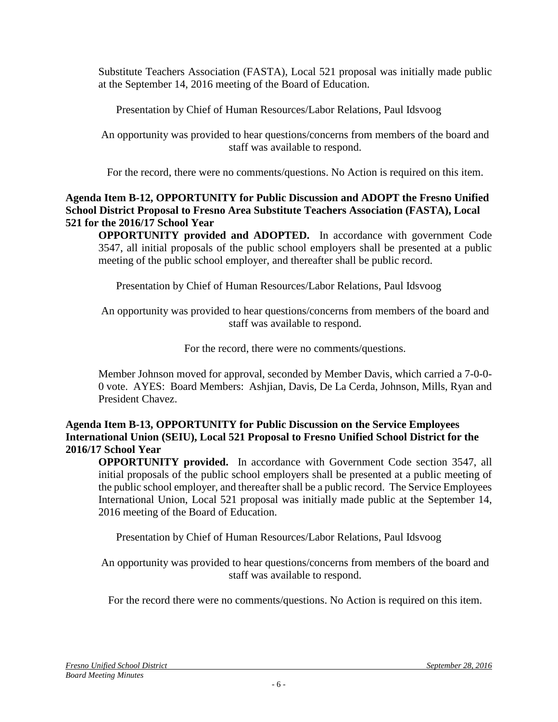Substitute Teachers Association (FASTA), Local 521 proposal was initially made public at the September 14, 2016 meeting of the Board of Education.

Presentation by Chief of Human Resources/Labor Relations, Paul Idsvoog

An opportunity was provided to hear questions/concerns from members of the board and staff was available to respond.

For the record, there were no comments/questions. No Action is required on this item.

## **Agenda Item B-12, OPPORTUNITY for Public Discussion and ADOPT the Fresno Unified School District Proposal to Fresno Area Substitute Teachers Association (FASTA), Local 521 for the 2016/17 School Year**

**OPPORTUNITY provided and ADOPTED.** In accordance with government Code 3547, all initial proposals of the public school employers shall be presented at a public meeting of the public school employer, and thereafter shall be public record.

Presentation by Chief of Human Resources/Labor Relations, Paul Idsvoog

An opportunity was provided to hear questions/concerns from members of the board and staff was available to respond.

For the record, there were no comments/questions.

Member Johnson moved for approval, seconded by Member Davis, which carried a 7-0-0- 0 vote. AYES: Board Members: Ashjian, Davis, De La Cerda, Johnson, Mills, Ryan and President Chavez.

## **Agenda Item B-13, OPPORTUNITY for Public Discussion on the Service Employees International Union (SEIU), Local 521 Proposal to Fresno Unified School District for the 2016/17 School Year**

**OPPORTUNITY provided.** In accordance with Government Code section 3547, all initial proposals of the public school employers shall be presented at a public meeting of the public school employer, and thereafter shall be a public record. The Service Employees International Union, Local 521 proposal was initially made public at the September 14, 2016 meeting of the Board of Education.

Presentation by Chief of Human Resources/Labor Relations, Paul Idsvoog

An opportunity was provided to hear questions/concerns from members of the board and staff was available to respond.

For the record there were no comments/questions. No Action is required on this item.